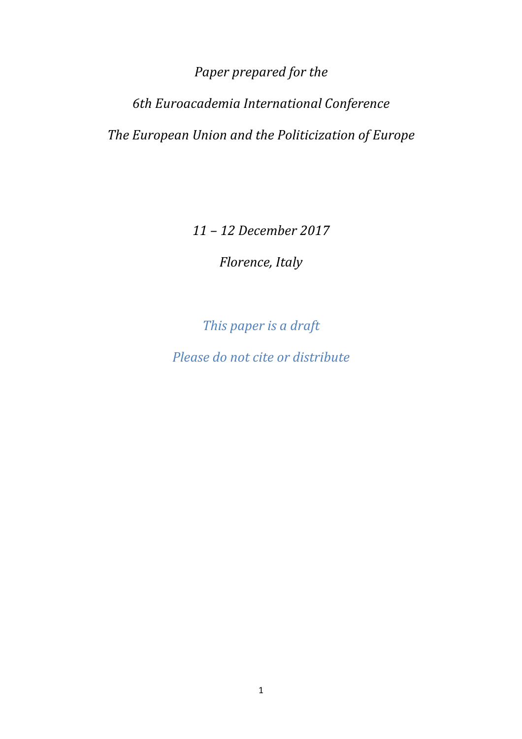*Paper prepared for the* 

*6th Euroacademia International Conference The European Union and the Politicization of Europe*

 *11 – 12 December 2017* 

*Florence, Italy* 

*This paper is a draft* 

*Please do not cite or distribute*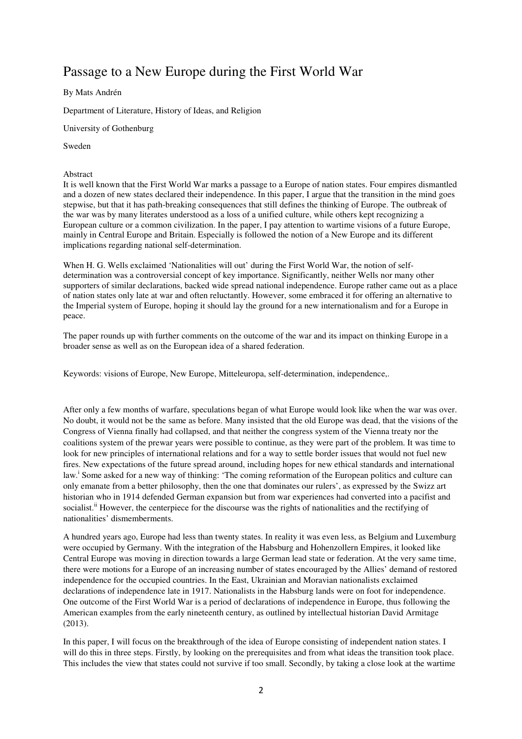# Passage to a New Europe during the First World War

#### By Mats Andrén

Department of Literature, History of Ideas, and Religion

University of Gothenburg

Sweden

#### Abstract

It is well known that the First World War marks a passage to a Europe of nation states. Four empires dismantled and a dozen of new states declared their independence. In this paper, I argue that the transition in the mind goes stepwise, but that it has path-breaking consequences that still defines the thinking of Europe. The outbreak of the war was by many literates understood as a loss of a unified culture, while others kept recognizing a European culture or a common civilization. In the paper, I pay attention to wartime visions of a future Europe, mainly in Central Europe and Britain. Especially is followed the notion of a New Europe and its different implications regarding national self-determination.

When H. G. Wells exclaimed 'Nationalities will out' during the First World War, the notion of selfdetermination was a controversial concept of key importance. Significantly, neither Wells nor many other supporters of similar declarations, backed wide spread national independence. Europe rather came out as a place of nation states only late at war and often reluctantly. However, some embraced it for offering an alternative to the Imperial system of Europe, hoping it should lay the ground for a new internationalism and for a Europe in peace.

The paper rounds up with further comments on the outcome of the war and its impact on thinking Europe in a broader sense as well as on the European idea of a shared federation.

Keywords: visions of Europe, New Europe, Mitteleuropa, self-determination, independence,.

After only a few months of warfare, speculations began of what Europe would look like when the war was over. No doubt, it would not be the same as before. Many insisted that the old Europe was dead, that the visions of the Congress of Vienna finally had collapsed, and that neither the congress system of the Vienna treaty nor the coalitions system of the prewar years were possible to continue, as they were part of the problem. It was time to look for new principles of international relations and for a way to settle border issues that would not fuel new fires. New expectations of the future spread around, including hopes for new ethical standards and international law.<sup>i</sup> Some asked for a new way of thinking: 'The coming reformation of the European politics and culture can only emanate from a better philosophy, then the one that dominates our rulers', as expressed by the Swizz art historian who in 1914 defended German expansion but from war experiences had converted into a pacifist and socialist.<sup>ii</sup> However, the centerpiece for the discourse was the rights of nationalities and the rectifying of nationalities' dismemberments.

A hundred years ago, Europe had less than twenty states. In reality it was even less, as Belgium and Luxemburg were occupied by Germany. With the integration of the Habsburg and Hohenzollern Empires, it looked like Central Europe was moving in direction towards a large German lead state or federation. At the very same time, there were motions for a Europe of an increasing number of states encouraged by the Allies' demand of restored independence for the occupied countries. In the East, Ukrainian and Moravian nationalists exclaimed declarations of independence late in 1917. Nationalists in the Habsburg lands were on foot for independence. One outcome of the First World War is a period of declarations of independence in Europe, thus following the American examples from the early nineteenth century, as outlined by intellectual historian David Armitage (2013).

In this paper, I will focus on the breakthrough of the idea of Europe consisting of independent nation states. I will do this in three steps. Firstly, by looking on the prerequisites and from what ideas the transition took place. This includes the view that states could not survive if too small. Secondly, by taking a close look at the wartime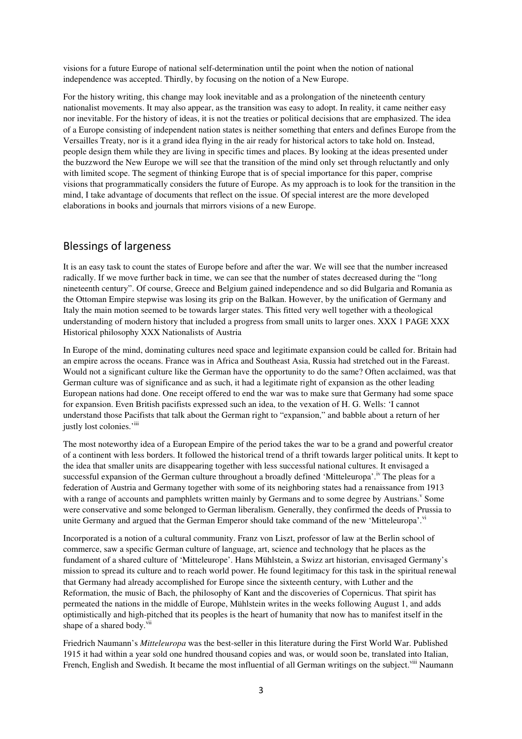visions for a future Europe of national self-determination until the point when the notion of national independence was accepted. Thirdly, by focusing on the notion of a New Europe.

For the history writing, this change may look inevitable and as a prolongation of the nineteenth century nationalist movements. It may also appear, as the transition was easy to adopt. In reality, it came neither easy nor inevitable. For the history of ideas, it is not the treaties or political decisions that are emphasized. The idea of a Europe consisting of independent nation states is neither something that enters and defines Europe from the Versailles Treaty, nor is it a grand idea flying in the air ready for historical actors to take hold on. Instead, people design them while they are living in specific times and places. By looking at the ideas presented under the buzzword the New Europe we will see that the transition of the mind only set through reluctantly and only with limited scope. The segment of thinking Europe that is of special importance for this paper, comprise visions that programmatically considers the future of Europe. As my approach is to look for the transition in the mind, I take advantage of documents that reflect on the issue. Of special interest are the more developed elaborations in books and journals that mirrors visions of a new Europe.

## Blessings of largeness

It is an easy task to count the states of Europe before and after the war. We will see that the number increased radically. If we move further back in time, we can see that the number of states decreased during the "long nineteenth century". Of course, Greece and Belgium gained independence and so did Bulgaria and Romania as the Ottoman Empire stepwise was losing its grip on the Balkan. However, by the unification of Germany and Italy the main motion seemed to be towards larger states. This fitted very well together with a theological understanding of modern history that included a progress from small units to larger ones. XXX 1 PAGE XXX Historical philosophy XXX Nationalists of Austria

In Europe of the mind, dominating cultures need space and legitimate expansion could be called for. Britain had an empire across the oceans. France was in Africa and Southeast Asia, Russia had stretched out in the Fareast. Would not a significant culture like the German have the opportunity to do the same? Often acclaimed, was that German culture was of significance and as such, it had a legitimate right of expansion as the other leading European nations had done. One receipt offered to end the war was to make sure that Germany had some space for expansion. Even British pacifists expressed such an idea, to the vexation of H. G. Wells: 'I cannot understand those Pacifists that talk about the German right to "expansion," and babble about a return of her justly lost colonies.'iii

The most noteworthy idea of a European Empire of the period takes the war to be a grand and powerful creator of a continent with less borders. It followed the historical trend of a thrift towards larger political units. It kept to the idea that smaller units are disappearing together with less successful national cultures. It envisaged a successful expansion of the German culture throughout a broadly defined 'Mitteleuropa'.<sup>iv</sup> The pleas for a federation of Austria and Germany together with some of its neighboring states had a renaissance from 1913 with a range of accounts and pamphlets written mainly by Germans and to some degree by Austrians.<sup>v</sup> Some were conservative and some belonged to German liberalism. Generally, they confirmed the deeds of Prussia to unite Germany and argued that the German Emperor should take command of the new 'Mitteleuropa'.<sup>vi</sup>

Incorporated is a notion of a cultural community. Franz von Liszt, professor of law at the Berlin school of commerce, saw a specific German culture of language, art, science and technology that he places as the fundament of a shared culture of 'Mitteleurope'. Hans Mühlstein, a Swizz art historian, envisaged Germany's mission to spread its culture and to reach world power. He found legitimacy for this task in the spiritual renewal that Germany had already accomplished for Europe since the sixteenth century, with Luther and the Reformation, the music of Bach, the philosophy of Kant and the discoveries of Copernicus. That spirit has permeated the nations in the middle of Europe, Mühlstein writes in the weeks following August 1, and adds optimistically and high-pitched that its peoples is the heart of humanity that now has to manifest itself in the shape of a shared body.<sup>vii</sup>

Friedrich Naumann's *Mitteleuropa* was the best-seller in this literature during the First World War. Published 1915 it had within a year sold one hundred thousand copies and was, or would soon be, translated into Italian, French, English and Swedish. It became the most influential of all German writings on the subject.<sup>viii</sup> Naumann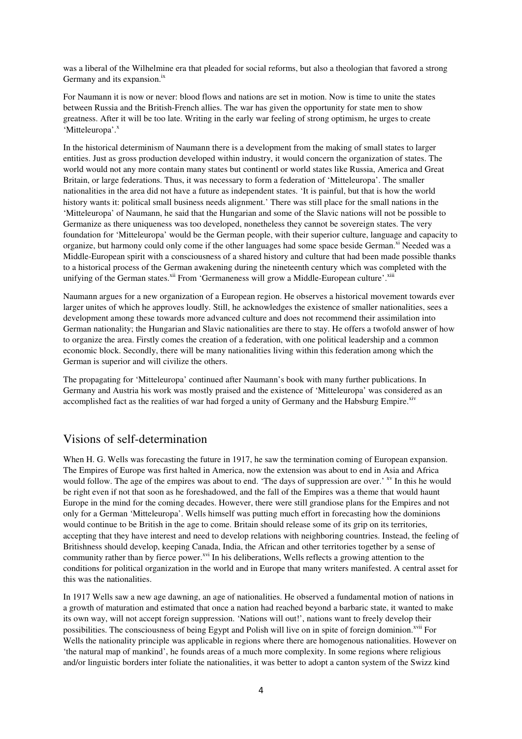was a liberal of the Wilhelmine era that pleaded for social reforms, but also a theologian that favored a strong Germany and its expansion.<sup>ix</sup>

For Naumann it is now or never: blood flows and nations are set in motion. Now is time to unite the states between Russia and the British-French allies. The war has given the opportunity for state men to show greatness. After it will be too late. Writing in the early war feeling of strong optimism, he urges to create 'Mitteleuropa'.<sup>x</sup>

In the historical determinism of Naumann there is a development from the making of small states to larger entities. Just as gross production developed within industry, it would concern the organization of states. The world would not any more contain many states but continentl or world states like Russia, America and Great Britain, or large federations. Thus, it was necessary to form a federation of 'Mitteleuropa'. The smaller nationalities in the area did not have a future as independent states. 'It is painful, but that is how the world history wants it: political small business needs alignment.' There was still place for the small nations in the 'Mitteleuropa' of Naumann, he said that the Hungarian and some of the Slavic nations will not be possible to Germanize as there uniqueness was too developed, nonetheless they cannot be sovereign states. The very foundation for 'Mitteleuropa' would be the German people, with their superior culture, language and capacity to organize, but harmony could only come if the other languages had some space beside German.<sup>xi</sup> Needed was a Middle-European spirit with a consciousness of a shared history and culture that had been made possible thanks to a historical process of the German awakening during the nineteenth century which was completed with the unifying of the German states. $x^{1i}$  From 'Germaneness will grow a Middle-European culture'. $x^{1i}$ 

Naumann argues for a new organization of a European region. He observes a historical movement towards ever larger unites of which he approves loudly. Still, he acknowledges the existence of smaller nationalities, sees a development among these towards more advanced culture and does not recommend their assimilation into German nationality; the Hungarian and Slavic nationalities are there to stay. He offers a twofold answer of how to organize the area. Firstly comes the creation of a federation, with one political leadership and a common economic block. Secondly, there will be many nationalities living within this federation among which the German is superior and will civilize the others.

The propagating for 'Mitteleuropa' continued after Naumann's book with many further publications. In Germany and Austria his work was mostly praised and the existence of 'Mitteleuropa' was considered as an accomplished fact as the realities of war had forged a unity of Germany and the Habsburg Empire.<sup>xiv</sup>

# Visions of self-determination

When H. G. Wells was forecasting the future in 1917, he saw the termination coming of European expansion. The Empires of Europe was first halted in America, now the extension was about to end in Asia and Africa would follow. The age of the empires was about to end. 'The days of suppression are over.' <sup>xv</sup> In this he would be right even if not that soon as he foreshadowed, and the fall of the Empires was a theme that would haunt Europe in the mind for the coming decades. However, there were still grandiose plans for the Empires and not only for a German 'Mitteleuropa'. Wells himself was putting much effort in forecasting how the dominions would continue to be British in the age to come. Britain should release some of its grip on its territories, accepting that they have interest and need to develop relations with neighboring countries. Instead, the feeling of Britishness should develop, keeping Canada, India, the African and other territories together by a sense of community rather than by fierce power.<sup>xvi</sup> In his deliberations, Wells reflects a growing attention to the conditions for political organization in the world and in Europe that many writers manifested. A central asset for this was the nationalities.

In 1917 Wells saw a new age dawning, an age of nationalities. He observed a fundamental motion of nations in a growth of maturation and estimated that once a nation had reached beyond a barbaric state, it wanted to make its own way, will not accept foreign suppression. 'Nations will out!', nations want to freely develop their possibilities. The consciousness of being Egypt and Polish will live on in spite of foreign dominion.<sup>xvii</sup> For Wells the nationality principle was applicable in regions where there are homogenous nationalities. However on 'the natural map of mankind', he founds areas of a much more complexity. In some regions where religious and/or linguistic borders inter foliate the nationalities, it was better to adopt a canton system of the Swizz kind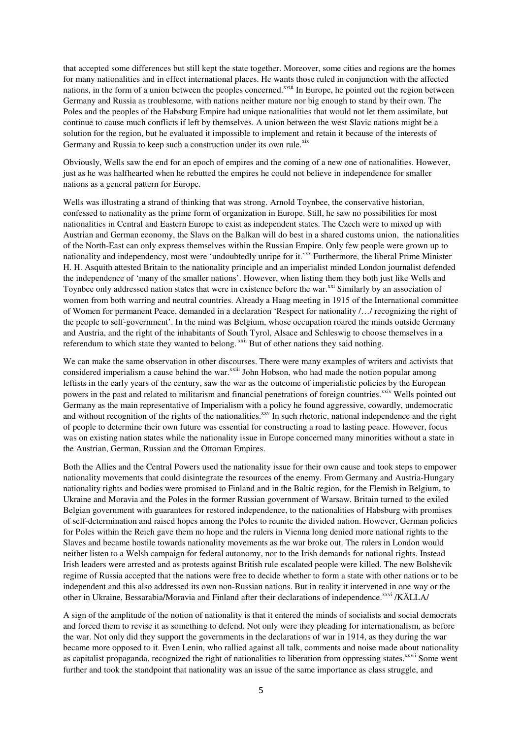that accepted some differences but still kept the state together. Moreover, some cities and regions are the homes for many nationalities and in effect international places. He wants those ruled in conjunction with the affected nations, in the form of a union between the peoples concerned.<sup>xviii</sup> In Europe, he pointed out the region between Germany and Russia as troublesome, with nations neither mature nor big enough to stand by their own. The Poles and the peoples of the Habsburg Empire had unique nationalities that would not let them assimilate, but continue to cause much conflicts if left by themselves. A union between the west Slavic nations might be a solution for the region, but he evaluated it impossible to implement and retain it because of the interests of Germany and Russia to keep such a construction under its own rule.<sup>xix</sup>

Obviously, Wells saw the end for an epoch of empires and the coming of a new one of nationalities. However, just as he was halfhearted when he rebutted the empires he could not believe in independence for smaller nations as a general pattern for Europe.

Wells was illustrating a strand of thinking that was strong. Arnold Toynbee, the conservative historian, confessed to nationality as the prime form of organization in Europe. Still, he saw no possibilities for most nationalities in Central and Eastern Europe to exist as independent states. The Czech were to mixed up with Austrian and German economy, the Slavs on the Balkan will do best in a shared customs union, the nationalities of the North-East can only express themselves within the Russian Empire. Only few people were grown up to nationality and independency, most were 'undoubtedly unripe for it.'<sup>xx</sup> Furthermore, the liberal Prime Minister H. H. Asquith attested Britain to the nationality principle and an imperialist minded London journalist defended the independence of 'many of the smaller nations'. However, when listing them they both just like Wells and Toynbee only addressed nation states that were in existence before the war.<sup>xxi</sup> Similarly by an association of women from both warring and neutral countries. Already a Haag meeting in 1915 of the International committee of Women for permanent Peace, demanded in a declaration 'Respect for nationality /…/ recognizing the right of the people to self-government'. In the mind was Belgium, whose occupation roared the minds outside Germany and Austria, and the right of the inhabitants of South Tyrol, Alsace and Schleswig to choose themselves in a referendum to which state they wanted to belong. <sup>xxii</sup> But of other nations they said nothing.

We can make the same observation in other discourses. There were many examples of writers and activists that considered imperialism a cause behind the war.<sup> $x\sin$ </sup> John Hobson, who had made the notion popular among leftists in the early years of the century, saw the war as the outcome of imperialistic policies by the European powers in the past and related to militarism and financial penetrations of foreign countries.<sup>xxiv</sup> Wells pointed out Germany as the main representative of Imperialism with a policy he found aggressive, cowardly, undemocratic and without recognition of the rights of the nationalities.<sup>xxv</sup> In such rhetoric, national independence and the right of people to determine their own future was essential for constructing a road to lasting peace. However, focus was on existing nation states while the nationality issue in Europe concerned many minorities without a state in the Austrian, German, Russian and the Ottoman Empires.

Both the Allies and the Central Powers used the nationality issue for their own cause and took steps to empower nationality movements that could disintegrate the resources of the enemy. From Germany and Austria-Hungary nationality rights and bodies were promised to Finland and in the Baltic region, for the Flemish in Belgium, to Ukraine and Moravia and the Poles in the former Russian government of Warsaw. Britain turned to the exiled Belgian government with guarantees for restored independence, to the nationalities of Habsburg with promises of self-determination and raised hopes among the Poles to reunite the divided nation. However, German policies for Poles within the Reich gave them no hope and the rulers in Vienna long denied more national rights to the Slaves and became hostile towards nationality movements as the war broke out. The rulers in London would neither listen to a Welsh campaign for federal autonomy, nor to the Irish demands for national rights. Instead Irish leaders were arrested and as protests against British rule escalated people were killed. The new Bolshevik regime of Russia accepted that the nations were free to decide whether to form a state with other nations or to be independent and this also addressed its own non-Russian nations. But in reality it intervened in one way or the other in Ukraine, Bessarabia/Moravia and Finland after their declarations of independence.<sup>xxvi</sup> /KÄLLA/

A sign of the amplitude of the notion of nationality is that it entered the minds of socialists and social democrats and forced them to revise it as something to defend. Not only were they pleading for internationalism, as before the war. Not only did they support the governments in the declarations of war in 1914, as they during the war became more opposed to it. Even Lenin, who rallied against all talk, comments and noise made about nationality as capitalist propaganda, recognized the right of nationalities to liberation from oppressing states.<sup>xxvii</sup> Some went further and took the standpoint that nationality was an issue of the same importance as class struggle, and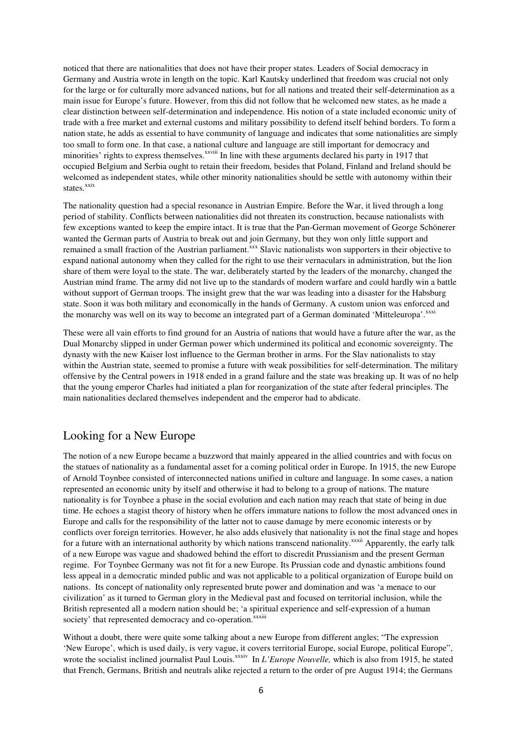noticed that there are nationalities that does not have their proper states. Leaders of Social democracy in Germany and Austria wrote in length on the topic. Karl Kautsky underlined that freedom was crucial not only for the large or for culturally more advanced nations, but for all nations and treated their self-determination as a main issue for Europe's future. However, from this did not follow that he welcomed new states, as he made a clear distinction between self-determination and independence. His notion of a state included economic unity of trade with a free market and external customs and military possibility to defend itself behind borders. To form a nation state, he adds as essential to have community of language and indicates that some nationalities are simply too small to form one. In that case, a national culture and language are still important for democracy and minorities' rights to express themselves.<sup>xxviii</sup> In line with these arguments declared his party in 1917 that occupied Belgium and Serbia ought to retain their freedom, besides that Poland, Finland and Ireland should be welcomed as independent states, while other minority nationalities should be settle with autonomy within their states.<sup>xxix</sup>

The nationality question had a special resonance in Austrian Empire. Before the War, it lived through a long period of stability. Conflicts between nationalities did not threaten its construction, because nationalists with few exceptions wanted to keep the empire intact. It is true that the Pan-German movement of George Schönerer wanted the German parts of Austria to break out and join Germany, but they won only little support and remained a small fraction of the Austrian parliament.<sup>xxx</sup> Slavic nationalists won supporters in their objective to expand national autonomy when they called for the right to use their vernaculars in administration, but the lion share of them were loyal to the state. The war, deliberately started by the leaders of the monarchy, changed the Austrian mind frame. The army did not live up to the standards of modern warfare and could hardly win a battle without support of German troops. The insight grew that the war was leading into a disaster for the Habsburg state. Soon it was both military and economically in the hands of Germany. A custom union was enforced and the monarchy was well on its way to become an integrated part of a German dominated 'Mitteleuropa'.<sup>xxxi</sup>

These were all vain efforts to find ground for an Austria of nations that would have a future after the war, as the Dual Monarchy slipped in under German power which undermined its political and economic sovereignty. The dynasty with the new Kaiser lost influence to the German brother in arms. For the Slav nationalists to stay within the Austrian state, seemed to promise a future with weak possibilities for self-determination. The military offensive by the Central powers in 1918 ended in a grand failure and the state was breaking up. It was of no help that the young emperor Charles had initiated a plan for reorganization of the state after federal principles. The main nationalities declared themselves independent and the emperor had to abdicate.

# Looking for a New Europe

The notion of a new Europe became a buzzword that mainly appeared in the allied countries and with focus on the statues of nationality as a fundamental asset for a coming political order in Europe. In 1915, the new Europe of Arnold Toynbee consisted of interconnected nations unified in culture and language. In some cases, a nation represented an economic unity by itself and otherwise it had to belong to a group of nations. The mature nationality is for Toynbee a phase in the social evolution and each nation may reach that state of being in due time. He echoes a stagist theory of history when he offers immature nations to follow the most advanced ones in Europe and calls for the responsibility of the latter not to cause damage by mere economic interests or by conflicts over foreign territories. However, he also adds elusively that nationality is not the final stage and hopes for a future with an international authority by which nations transcend nationality.<sup>xxxii</sup> Apparently, the early talk of a new Europe was vague and shadowed behind the effort to discredit Prussianism and the present German regime. For Toynbee Germany was not fit for a new Europe. Its Prussian code and dynastic ambitions found less appeal in a democratic minded public and was not applicable to a political organization of Europe build on nations. Its concept of nationality only represented brute power and domination and was 'a menace to our civilization' as it turned to German glory in the Medieval past and focused on territorial inclusion, while the British represented all a modern nation should be; 'a spiritual experience and self-expression of a human society' that represented democracy and co-operation.<sup>xxxiii</sup>

Without a doubt, there were quite some talking about a new Europe from different angles; "The expression 'New Europe', which is used daily, is very vague, it covers territorial Europe, social Europe, political Europe", wrote the socialist inclined journalist Paul Louis.<sup>xxxiv</sup> In *L'Europe Nouvelle*, which is also from 1915, he stated that French, Germans, British and neutrals alike rejected a return to the order of pre August 1914; the Germans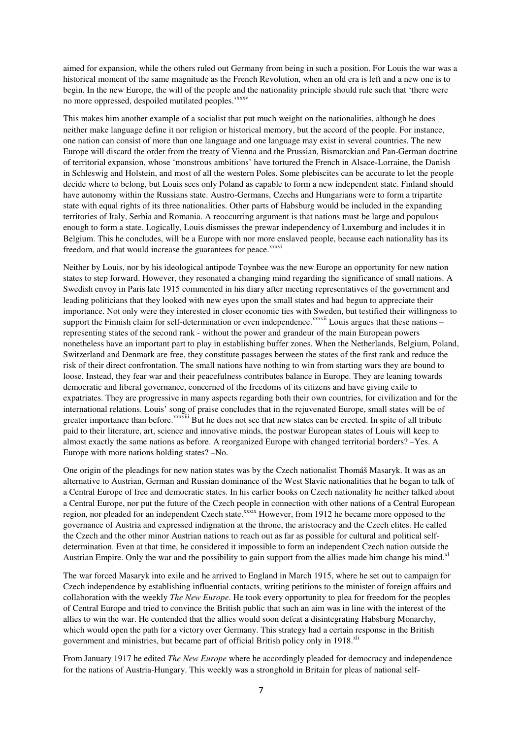aimed for expansion, while the others ruled out Germany from being in such a position. For Louis the war was a historical moment of the same magnitude as the French Revolution, when an old era is left and a new one is to begin. In the new Europe, the will of the people and the nationality principle should rule such that 'there were no more oppressed, despoiled mutilated peoples.<sup>'xxxv</sup>

This makes him another example of a socialist that put much weight on the nationalities, although he does neither make language define it nor religion or historical memory, but the accord of the people. For instance, one nation can consist of more than one language and one language may exist in several countries. The new Europe will discard the order from the treaty of Vienna and the Prussian, Bismarckian and Pan-German doctrine of territorial expansion, whose 'monstrous ambitions' have tortured the French in Alsace-Lorraine, the Danish in Schleswig and Holstein, and most of all the western Poles. Some plebiscites can be accurate to let the people decide where to belong, but Louis sees only Poland as capable to form a new independent state. Finland should have autonomy within the Russians state. Austro-Germans, Czechs and Hungarians were to form a tripartite state with equal rights of its three nationalities. Other parts of Habsburg would be included in the expanding territories of Italy, Serbia and Romania. A reoccurring argument is that nations must be large and populous enough to form a state. Logically, Louis dismisses the prewar independency of Luxemburg and includes it in Belgium. This he concludes, will be a Europe with nor more enslaved people, because each nationality has its freedom, and that would increase the guarantees for peace.<sup>xxxvi</sup>

Neither by Louis, nor by his ideological antipode Toynbee was the new Europe an opportunity for new nation states to step forward. However, they resonated a changing mind regarding the significance of small nations. A Swedish envoy in Paris late 1915 commented in his diary after meeting representatives of the government and leading politicians that they looked with new eyes upon the small states and had begun to appreciate their importance. Not only were they interested in closer economic ties with Sweden, but testified their willingness to support the Finnish claim for self-determination or even independence.<sup>xxxvii</sup> Louis argues that these nations – representing states of the second rank - without the power and grandeur of the main European powers nonetheless have an important part to play in establishing buffer zones. When the Netherlands, Belgium, Poland, Switzerland and Denmark are free, they constitute passages between the states of the first rank and reduce the risk of their direct confrontation. The small nations have nothing to win from starting wars they are bound to loose. Instead, they fear war and their peacefulness contributes balance in Europe. They are leaning towards democratic and liberal governance, concerned of the freedoms of its citizens and have giving exile to expatriates. They are progressive in many aspects regarding both their own countries, for civilization and for the international relations. Louis' song of praise concludes that in the rejuvenated Europe, small states will be of greater importance than before.<sup>xxxviii</sup> But he does not see that new states can be erected. In spite of all tribute paid to their literature, art, science and innovative minds, the postwar European states of Louis will keep to almost exactly the same nations as before. A reorganized Europe with changed territorial borders? –Yes. A Europe with more nations holding states? –No.

One origin of the pleadings for new nation states was by the Czech nationalist Thomáš Masaryk. It was as an alternative to Austrian, German and Russian dominance of the West Slavic nationalities that he began to talk of a Central Europe of free and democratic states. In his earlier books on Czech nationality he neither talked about a Central Europe, nor put the future of the Czech people in connection with other nations of a Central European region, nor pleaded for an independent Czech state.<sup>xxxix</sup> However, from 1912 he became more opposed to the governance of Austria and expressed indignation at the throne, the aristocracy and the Czech elites. He called the Czech and the other minor Austrian nations to reach out as far as possible for cultural and political selfdetermination. Even at that time, he considered it impossible to form an independent Czech nation outside the Austrian Empire. Only the war and the possibility to gain support from the allies made him change his mind. $x<sup>1</sup>$ 

The war forced Masaryk into exile and he arrived to England in March 1915, where he set out to campaign for Czech independence by establishing influential contacts, writing petitions to the minister of foreign affairs and collaboration with the weekly *The New Europe*. He took every opportunity to plea for freedom for the peoples of Central Europe and tried to convince the British public that such an aim was in line with the interest of the allies to win the war. He contended that the allies would soon defeat a disintegrating Habsburg Monarchy, which would open the path for a victory over Germany. This strategy had a certain response in the British government and ministries, but became part of official British policy only in 1918.<sup>xli</sup>

From January 1917 he edited *The New Europe* where he accordingly pleaded for democracy and independence for the nations of Austria-Hungary. This weekly was a stronghold in Britain for pleas of national self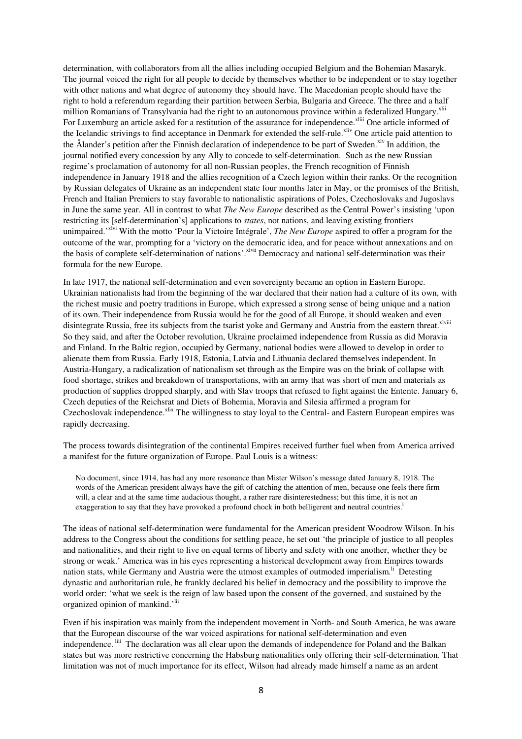determination, with collaborators from all the allies including occupied Belgium and the Bohemian Masaryk. The journal voiced the right for all people to decide by themselves whether to be independent or to stay together with other nations and what degree of autonomy they should have. The Macedonian people should have the right to hold a referendum regarding their partition between Serbia, Bulgaria and Greece. The three and a half million Romanians of Transylvania had the right to an autonomous province within a federalized Hungary.<sup>xlii</sup> For Luxemburg an article asked for a restitution of the assurance for independence.<sup>xliii</sup> One article informed of the Icelandic strivings to find acceptance in Denmark for extended the self-rule.<sup>xliv</sup> One article paid attention to the Ålander's petition after the Finnish declaration of independence to be part of Sweden.<sup>xlv</sup> In addition, the journal notified every concession by any Ally to concede to self-determination. Such as the new Russian regime's proclamation of autonomy for all non-Russian peoples, the French recognition of Finnish independence in January 1918 and the allies recognition of a Czech legion within their ranks. Or the recognition by Russian delegates of Ukraine as an independent state four months later in May, or the promises of the British, French and Italian Premiers to stay favorable to nationalistic aspirations of Poles, Czechoslovaks and Jugoslavs in June the same year. All in contrast to what *The New Europe* described as the Central Power's insisting 'upon restricting its [self-determination's] applications to *states*, not nations, and leaving existing frontiers unimpaired.'xlvi With the motto 'Pour la Victoire Intégrale', *The New Europe* aspired to offer a program for the outcome of the war, prompting for a 'victory on the democratic idea, and for peace without annexations and on the basis of complete self-determination of nations'.xlvii Democracy and national self-determination was their formula for the new Europe.

In late 1917, the national self-determination and even sovereignty became an option in Eastern Europe. Ukrainian nationalists had from the beginning of the war declared that their nation had a culture of its own, with the richest music and poetry traditions in Europe, which expressed a strong sense of being unique and a nation of its own. Their independence from Russia would be for the good of all Europe, it should weaken and even disintegrate Russia, free its subjects from the tsarist yoke and Germany and Austria from the eastern threat.<sup>xlviii</sup> So they said, and after the October revolution, Ukraine proclaimed independence from Russia as did Moravia and Finland. In the Baltic region, occupied by Germany, national bodies were allowed to develop in order to alienate them from Russia. Early 1918, Estonia, Latvia and Lithuania declared themselves independent. In Austria-Hungary, a radicalization of nationalism set through as the Empire was on the brink of collapse with food shortage, strikes and breakdown of transportations, with an army that was short of men and materials as production of supplies dropped sharply, and with Slav troops that refused to fight against the Entente. January 6, Czech deputies of the Reichsrat and Diets of Bohemia, Moravia and Silesia affirmed a program for Czechoslovak independence.<sup>xlix</sup> The willingness to stay loyal to the Central- and Eastern European empires was rapidly decreasing.

The process towards disintegration of the continental Empires received further fuel when from America arrived a manifest for the future organization of Europe. Paul Louis is a witness:

No document, since 1914, has had any more resonance than Mister Wilson's message dated January 8, 1918. The words of the American president always have the gift of catching the attention of men, because one feels there firm will, a clear and at the same time audacious thought, a rather rare disinterestedness; but this time, it is not an exaggeration to say that they have provoked a profound chock in both belligerent and neutral countries.<sup>1</sup>

The ideas of national self-determination were fundamental for the American president Woodrow Wilson. In his address to the Congress about the conditions for settling peace, he set out 'the principle of justice to all peoples and nationalities, and their right to live on equal terms of liberty and safety with one another, whether they be strong or weak.' America was in his eyes representing a historical development away from Empires towards nation stats, while Germany and Austria were the utmost examples of outmoded imperialism.<sup>li</sup> Detesting dynastic and authoritarian rule, he frankly declared his belief in democracy and the possibility to improve the world order: 'what we seek is the reign of law based upon the consent of the governed, and sustained by the organized opinion of mankind.<sup>'lii</sup>

Even if his inspiration was mainly from the independent movement in North- and South America, he was aware that the European discourse of the war voiced aspirations for national self-determination and even independence. Iiii The declaration was all clear upon the demands of independence for Poland and the Balkan states but was more restrictive concerning the Habsburg nationalities only offering their self-determination. That limitation was not of much importance for its effect, Wilson had already made himself a name as an ardent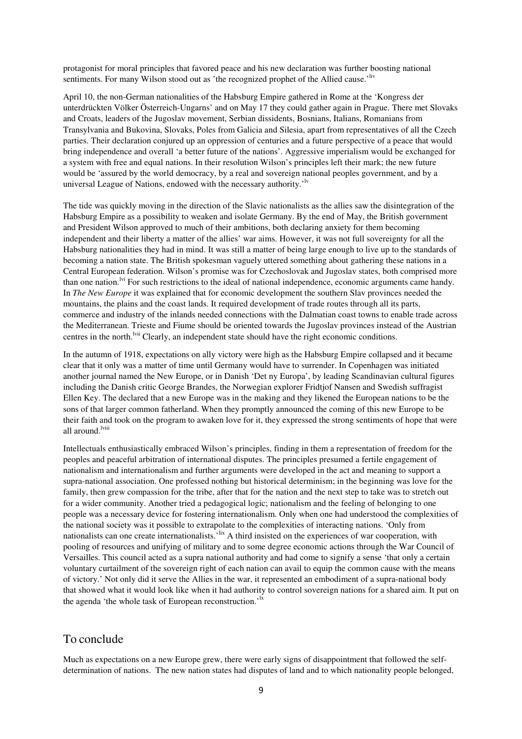protagonist for moral principles that favored peace and his new declaration was further boosting national sentiments. For many Wilson stood out as 'the recognized prophet of the Allied cause.'<sup>liv</sup>

April 10, the non-German nationalities of the Habsburg Empire gathered in Rome at the 'Kongress der unterdrückten Völker Österreich-Ungarns' and on May 17 they could gather again in Prague. There met Slovaks and Croats, leaders of the Jugoslav movement, Serbian dissidents, Bosnians, Italians, Romanians from Transylvania and Bukovina, Slovaks, Poles from Galicia and Silesia, apart from representatives of all the Czech parties. Their declaration conjured up an oppression of centuries and a future perspective of a peace that would bring independence and overall 'a better future of the nations'. Aggressive imperialism would be exchanged for a system with free and equal nations. In their resolution Wilson's principles left their mark; the new future would be 'assured by the world democracy, by a real and sovereign national peoples government, and by a universal League of Nations, endowed with the necessary authority.<sup>'lv</sup>

The tide was quickly moving in the direction of the Slavic nationalists as the allies saw the disintegration of the Habsburg Empire as a possibility to weaken and isolate Germany. By the end of May, the British government and President Wilson approved to much of their ambitions, both declaring anxiety for them becoming independent and their liberty a matter of the allies' war aims. However, it was not full sovereignty for all the Habsburg nationalities they had in mind. It was still a matter of being large enough to live up to the standards of becoming a nation state. The British spokesman vaguely uttered something about gathering these nations in a Central European federation. Wilson's promise was for Czechoslovak and Jugoslav states, both comprised more than one nation.<sup>Ivi</sup> For such restrictions to the ideal of national independence, economic arguments came handy. In *The New Europe* it was explained that for economic development the southern Slav provinces needed the mountains, the plains and the coast lands. It required development of trade routes through all its parts, commerce and industry of the inlands needed connections with the Dalmatian coast towns to enable trade across the Mediterranean. Trieste and Fiume should be oriented towards the Jugoslav provinces instead of the Austrian centres in the north.<sup>lvii</sup> Clearly, an independent state should have the right economic conditions.

In the autumn of 1918, expectations on ally victory were high as the Habsburg Empire collapsed and it became clear that it only was a matter of time until Germany would have to surrender. In Copenhagen was initiated another journal named the New Europe, or in Danish 'Det ny Europa', by leading Scandinavian cultural figures including the Danish critic George Brandes, the Norwegian explorer Fridtjof Nansen and Swedish suffragist Ellen Key. The declared that a new Europe was in the making and they likened the European nations to be the sons of that larger common fatherland. When they promptly announced the coming of this new Europe to be their faith and took on the program to awaken love for it, they expressed the strong sentiments of hope that were all around.<sup>lviii</sup>

Intellectuals enthusiastically embraced Wilson's principles, finding in them a representation of freedom for the peoples and peaceful arbitration of international disputes. The principles presumed a fertile engagement of nationalism and internationalism and further arguments were developed in the act and meaning to support a supra-national association. One professed nothing but historical determinism; in the beginning was love for the family, then grew compassion for the tribe, after that for the nation and the next step to take was to stretch out for a wider community. Another tried a pedagogical logic; nationalism and the feeling of belonging to one people was a necessary device for fostering internationalism. Only when one had understood the complexities of the national society was it possible to extrapolate to the complexities of interacting nations. 'Only from nationalists can one create internationalists.<sup>'lix</sup> A third insisted on the experiences of war cooperation, with pooling of resources and unifying of military and to some degree economic actions through the War Council of Versailles. This council acted as a supra national authority and had come to signify a sense 'that only a certain voluntary curtailment of the sovereign right of each nation can avail to equip the common cause with the means of victory.' Not only did it serve the Allies in the war, it represented an embodiment of a supra-national body that showed what it would look like when it had authority to control sovereign nations for a shared aim. It put on the agenda 'the whole task of European reconstruction.'<sup>1x</sup>

### To conclude

Much as expectations on a new Europe grew, there were early signs of disappointment that followed the selfdetermination of nations. The new nation states had disputes of land and to which nationality people belonged,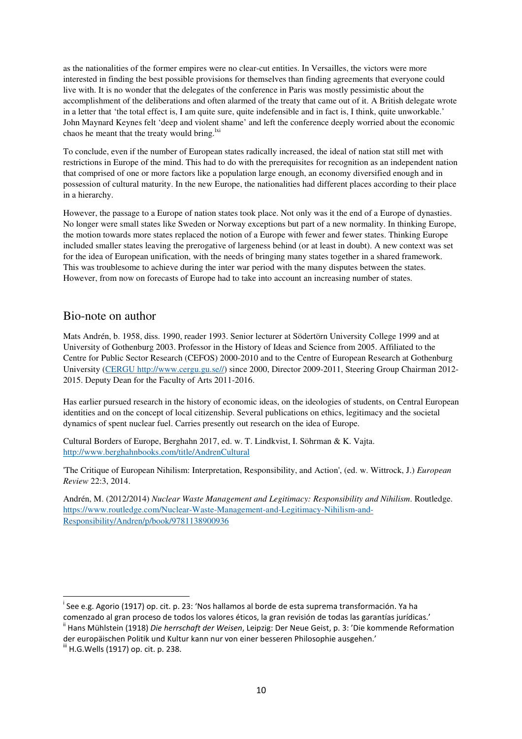as the nationalities of the former empires were no clear-cut entities. In Versailles, the victors were more interested in finding the best possible provisions for themselves than finding agreements that everyone could live with. It is no wonder that the delegates of the conference in Paris was mostly pessimistic about the accomplishment of the deliberations and often alarmed of the treaty that came out of it. A British delegate wrote in a letter that 'the total effect is, I am quite sure, quite indefensible and in fact is, I think, quite unworkable.' John Maynard Keynes felt 'deep and violent shame' and left the conference deeply worried about the economic chaos he meant that the treaty would bring. $\frac{dx}{dt}$ 

To conclude, even if the number of European states radically increased, the ideal of nation stat still met with restrictions in Europe of the mind. This had to do with the prerequisites for recognition as an independent nation that comprised of one or more factors like a population large enough, an economy diversified enough and in possession of cultural maturity. In the new Europe, the nationalities had different places according to their place in a hierarchy.

However, the passage to a Europe of nation states took place. Not only was it the end of a Europe of dynasties. No longer were small states like Sweden or Norway exceptions but part of a new normality. In thinking Europe, the motion towards more states replaced the notion of a Europe with fewer and fewer states. Thinking Europe included smaller states leaving the prerogative of largeness behind (or at least in doubt). A new context was set for the idea of European unification, with the needs of bringing many states together in a shared framework. This was troublesome to achieve during the inter war period with the many disputes between the states. However, from now on forecasts of Europe had to take into account an increasing number of states.

## Bio-note on author

Mats Andrén, b. 1958, diss. 1990, reader 1993. Senior lecturer at Södertörn University College 1999 and at University of Gothenburg 2003. Professor in the History of Ideas and Science from 2005. Affiliated to the Centre for Public Sector Research (CEFOS) 2000-2010 and to the Centre of European Research at Gothenburg University (CERGU http://www.cergu.gu.se//) since 2000, Director 2009-2011, Steering Group Chairman 2012- 2015. Deputy Dean for the Faculty of Arts 2011-2016.

Has earlier pursued research in the history of economic ideas, on the ideologies of students, on Central European identities and on the concept of local citizenship. Several publications on ethics, legitimacy and the societal dynamics of spent nuclear fuel. Carries presently out research on the idea of Europe.

Cultural Borders of Europe, Berghahn 2017, ed. w. T. Lindkvist, I. Söhrman & K. Vajta. http://www.berghahnbooks.com/title/AndrenCultural

'The Critique of European Nihilism: Interpretation, Responsibility, and Action', (ed. w. Wittrock, J.) *European Review* 22:3, 2014.

Andrén, M. (2012/2014) *Nuclear Waste Management and Legitimacy: Responsibility and Nihilism*. Routledge. https://www.routledge.com/Nuclear-Waste-Management-and-Legitimacy-Nihilism-and-Responsibility/Andren/p/book/9781138900936

 $\overline{a}$ 

<sup>&</sup>lt;sup>i</sup> See e.g. Agorio (1917) op. cit. p. 23: 'Nos hallamos al borde de esta suprema transformación. Ya ha comenzado al gran proceso de todos los valores éticos, la gran revisión de todas las garantías jurídicas.'

ii Hans Mühlstein (1918) *Die herrschaft der Weisen*, Leipzig: Der Neue Geist, p. 3: 'Die kommende Reformation der europäischen Politik und Kultur kann nur von einer besseren Philosophie ausgehen.'

iii H.G.Wells (1917) op. cit. p. 238.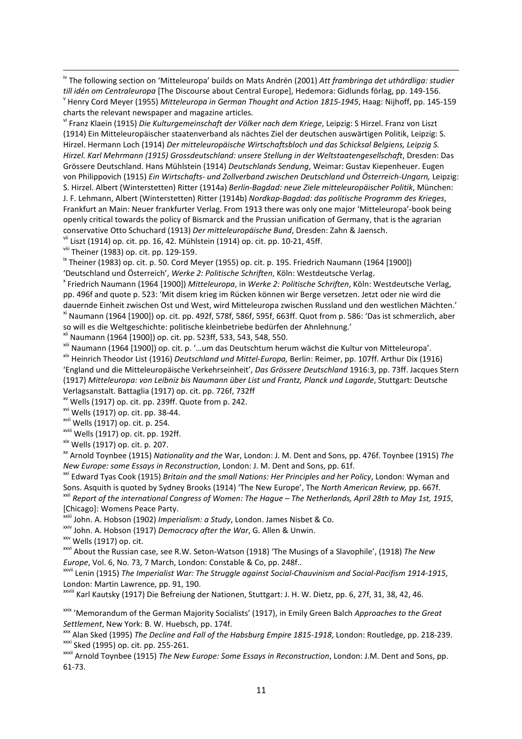iv The following section on 'Mitteleuropa' builds on Mats Andrén (2001) *Att frambringa det uthärdliga: studier till idén om Centraleuropa* [The Discourse about Central Europe], Hedemora: Gidlunds förlag, pp. 149-156. v Henry Cord Meyer (1955) *Mitteleuropa in German Thought and Action 1815-1945*, Haag: Nijhoff, pp. 145-159 charts the relevant newspaper and magazine articles.

vi Franz Klaein (1915) *Die Kulturgemeinschaft der Völker nach dem Kriege*, Leipzig: S Hirzel. Franz von Liszt (1914) Ein Mitteleuropäischer staatenverband als nächtes Ziel der deutschen auswärtigen Politik, Leipzig: S. Hirzel. Hermann Loch (1914) *Der mitteleuropäische Wirtschaftsbloch und das Schicksal Belgiens, Leipzig S. Hirzel. Karl Mehrmann (1915) Grossdeutschland: unsere Stellung in der Weltstaatengesellschaft*, Dresden: Das Grössere Deutschland. Hans Mühlstein (1914) *Deutschlands Sendung*, Weimar: Gustav Kiepenheuer. Eugen von Philippovich (1915) *Ein Wirtschafts- und Zollverband zwischen Deutschland und Österreich-Ungarn,* Leipzig: S. Hirzel. Albert (Winterstetten) Ritter (1914a) *Berlin-Bagdad: neue Ziele mitteleuropäischer Politik*, München: J. F. Lehmann, Albert (Winterstetten) Ritter (1914b) *Nordkap-Bagdad: das politische Programm des Krieges*, Frankfurt an Main: Neuer frankfurter Verlag. From 1913 there was only one major 'Mitteleuropa'-book being openly critical towards the policy of Bismarck and the Prussian unification of Germany, that is the agrarian conservative Otto Schuchard (1913) *Der mitteleuropäische Bund*, Dresden: Zahn & Jaensch.

vii Liszt (1914) op. cit. pp. 16, 42. Mühlstein (1914) op. cit. pp. 10-21, 45ff.

viii Theiner (1983) op. cit. pp. 129-159.

 $\overline{a}$ 

 $\frac{1}{10}$  Theiner (1983) op. cit. p. 50. Cord Meyer (1955) op. cit. p. 195. Friedrich Naumann (1964 [1900]) 'Deutschland und Österreich', *Werke 2: Politische Schriften*, Köln: Westdeutsche Verlag.

x Friedrich Naumann (1964 [1900]) *Mitteleuropa*, in *Werke 2: Politische Schriften*, Köln: Westdeutsche Verlag, pp. 496f and quote p. 523: 'Mit disem krieg im Rücken können wir Berge versetzen. Jetzt oder nie wird die dauernde Einheit zwischen Ost und West, wird Mitteleuropa zwischen Russland und den westlichen Mächten.' xi Naumann (1964 [1900]) op. cit. pp. 492f, 578f, 586f, 595f, 663ff. Quot from p. 586: 'Das ist schmerzlich, aber so will es die Weltgeschichte: politische kleinbetriebe bedürfen der Ahnlehnung.'

xii Naumann (1964 [1900]) op. cit. pp. 523ff, 533, 543, 548, 550.

xiii Naumann (1964 [1900]) op. cit. p. '…um das Deutschtum herum wächst die Kultur von Mitteleuropa'.

xiv Heinrich Theodor List (1916) *Deutschland und Mittel-Europa,* Berlin: Reimer, pp. 107ff. Arthur Dix (1916) 'England und die Mitteleuropäische Verkehrseinheit', *Das Grössere Deutschland* 1916:3, pp. 73ff. Jacques Stern (1917) *Mitteleuropa: von Leibniz bis Naumann über List und Frantz, Planck und Lagarde*, Stuttgart: Deutsche Verlagsanstalt. Battaglia (1917) op. cit. pp. 726f, 732ff

xv Wells (1917) op. cit. pp. 239ff. Quote from p. 242.

xvi Wells (1917) op. cit. pp. 38-44.

xvii Wells (1917) op. cit. p. 254.

xviii Wells (1917) op. cit. pp. 192ff.

xix Wells (1917) op. cit. p. 207.

xx Arnold Toynbee (1915) *Nationality and the* War, London: J. M. Dent and Sons, pp. 476f. Toynbee (1915) *The New Europe: some Essays in Reconstruction*, London: J. M. Dent and Sons, pp. 61f.

xxi Edward Tyas Cook (1915) *Britain and the small Nations: Her Principles and her Policy*, London: Wyman and Sons. Asquith is quoted by Sydney Brooks (1914) 'The New Europe', The *North American Review,* pp. 667f. xxii *Report of the international Congress of Women: The Hague – The Netherlands, April 28th to May 1st, 1915*, [Chicago]: Womens Peace Party.

<sup>i</sup> John. A. Hobson (1902) *Imperialism: a Study*, London. James Nisbet & Co.

xxiv John. A. Hobson (1917) *Democracy after the War*, G. Allen & Unwin.

xxv Wells (1917) op. cit.

xxvi About the Russian case, see R.W. Seton-Watson (1918) 'The Musings of a Slavophile', (1918) *The New Europe*, Vol. 6, No. 73, 7 March, London: Constable & Co, pp. 248f..

xxvii Lenin (1915) *The Imperialist War: The Struggle against Social-Chauvinism and Social-Pacifism 1914-1915*, London: Martin Lawrence, pp. 91, 190.

xxviii Karl Kautsky (1917) Die Befreiung der Nationen, Stuttgart: J. H. W. Dietz, pp. 6, 27f, 31, 38, 42, 46.

xxix 'Memorandum of the German Majority Socialists' (1917), in Emily Green Balch *Approaches to the Great Settlement*, New York: B. W. Huebsch, pp. 174f.

xxx Alan Sked (1995) *The Decline and Fall of the Habsburg Empire 1815-1918*, London: Routledge, pp. 218-239. xxxi Sked (1995) op. cit. pp. 255-261.

xxxii Arnold Toynbee (1915) *The New Europe: Some Essays in Reconstruction*, London: J.M. Dent and Sons, pp. 61-73.